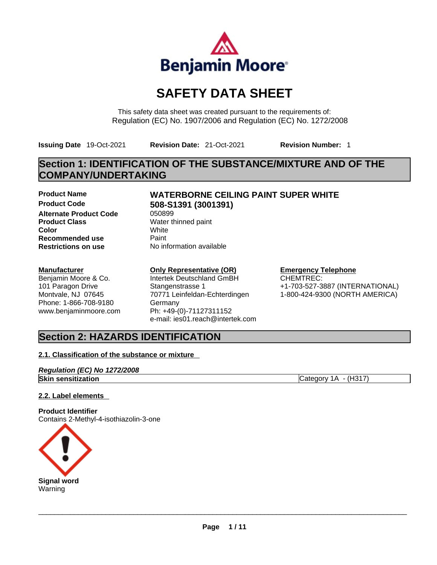

# **SAFETY DATA SHEET**

This safety data sheet was created pursuant to the requirements of: Regulation (EC) No. 1907/2006 and Regulation (EC) No. 1272/2008

**Issuing Date** 19-Oct-2021 **Revision Date:** 21-Oct-2021 **Revision Number:** 1

## **Section 1: IDENTIFICATION OF THE SUBSTANCE/MIXTURE AND OF THE COMPANY/UNDERTAKING**

**Alternate Product Code** 050899 **Product Class Water thinned paint**<br> **Color Color Color** White **Recommended use Paint Restrictions on use** No information available

#### **Manufacturer**

Benjamin Moore & Co. 101 Paragon Drive Montvale, NJ 07645 Phone: 1-866-708-9180 www.benjaminmoore.com

## **Product Name WATERBORNE CEILING PAINT SUPER WHITE Product Code 508-S1391 (3001391)**

### **Only Representative (OR)**

Intertek Deutschland GmBH Stangenstrasse 1 70771 Leinfeldan-Echterdingen **Germany** Ph: +49-(0)-71127311152 e-mail: ies01.reach@intertek.com

#### **Emergency Telephone** CHEMTREC: +1-703-527-3887 (INTERNATIONAL) 1-800-424-9300 (NORTH AMERICA)

## **Section 2: HAZARDS IDENTIFICATION**

#### **2.1. Classification of the substance or mixture**

*Regulation (EC) No 1272/2008* **Skin sensitization** Category 1A - (H317)

#### **2.2. Label elements**

#### **Product Identifier**

Contains 2-Methyl-4-isothiazolin-3-one

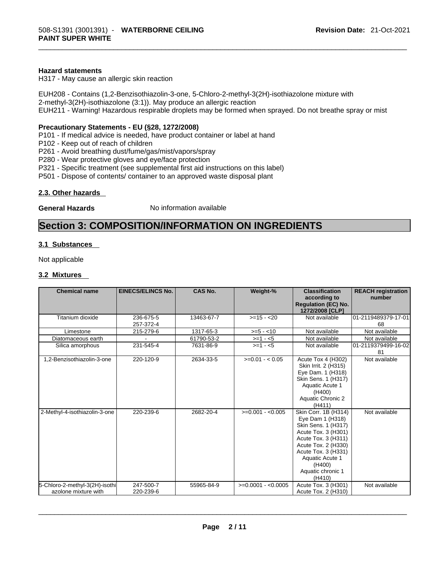#### **Hazard statements**

H317 - May cause an allergic skin reaction

EUH208 - Contains (1,2-Benzisothiazolin-3-one, 5-Chloro-2-methyl-3(2H)-isothiazolone mixture with 2-methyl-3(2H)-isothiazolone (3:1)). May produce an allergic reaction EUH211 - Warning! Hazardous respirable droplets may be formed when sprayed. Do not breathe spray or mist

#### **Precautionary Statements - EU (§28, 1272/2008)**

P101 - If medical advice is needed, have product container or label at hand

- P102 Keep out of reach of children
- P261 Avoid breathing dust/fume/gas/mist/vapors/spray
- P280 Wear protective gloves and eye/face protection
- P321 Specific treatment (see supplemental first aid instructions on this label)
- P501 Dispose of contents/ container to an approved waste disposal plant

#### **2.3. Other hazards**

**General Hazards No information available** 

## **Section 3: COMPOSITION/INFORMATION ON INGREDIENTS**

#### **3.1 Substances**

Not applicable

#### **3.2 Mixtures**

| <b>Chemical name</b>                                   | <b>EINECS/ELINCS No.</b> | <b>CAS No.</b> | Weight-%            | <b>Classification</b><br>according to<br><b>Regulation (EC) No.</b><br>1272/2008 [CLP]                                                                                                                                  | <b>REACH registration</b><br>number |
|--------------------------------------------------------|--------------------------|----------------|---------------------|-------------------------------------------------------------------------------------------------------------------------------------------------------------------------------------------------------------------------|-------------------------------------|
| Titanium dioxide                                       | 236-675-5<br>257-372-4   | 13463-67-7     | $>=15 - 20$         | Not available                                                                                                                                                                                                           | 01-2119489379-17-01<br>68           |
| Limestone                                              | 215-279-6                | 1317-65-3      | $>= 5 - 10$         | Not available                                                                                                                                                                                                           | Not available                       |
| Diatomaceous earth                                     |                          | 61790-53-2     | $>=1 - 5$           | Not available                                                                                                                                                                                                           | Not available                       |
| Silica amorphous                                       | 231-545-4                | 7631-86-9      | $>=1 - 5$           | Not available                                                                                                                                                                                                           | 01-2119379499-16-02<br>81           |
| 1,2-Benzisothiazolin-3-one                             | 220-120-9                | 2634-33-5      | $>=0.01 - 0.05$     | Acute Tox 4 (H302)<br>Skin Irrit. 2 (H315)<br>Eye Dam. 1 (H318)<br>Skin Sens. 1 (H317)<br>Aquatic Acute 1<br>(H400)<br><b>Aquatic Chronic 2</b><br>(H411)                                                               | Not available                       |
| 2-Methyl-4-isothiazolin-3-one                          | 220-239-6                | 2682-20-4      | $>=0.001 - 0.005$   | Skin Corr. 1B (H314)<br>Eye Dam 1 (H318)<br>Skin Sens. 1 (H317)<br>Acute Tox. 3 (H301)<br>Acute Tox. 3 (H311)<br>Acute Tox. 2 (H330)<br>Acute Tox. 3 (H331)<br>Aquatic Acute 1<br>(H400)<br>Aquatic chronic 1<br>(H410) | Not available                       |
| 5-Chloro-2-methyl-3(2H)-isothi<br>azolone mixture with | 247-500-7<br>220-239-6   | 55965-84-9     | $>=0.0001 - 0.0005$ | Acute Tox. 3 (H301)<br>Acute Tox. 2 (H310)                                                                                                                                                                              | Not available                       |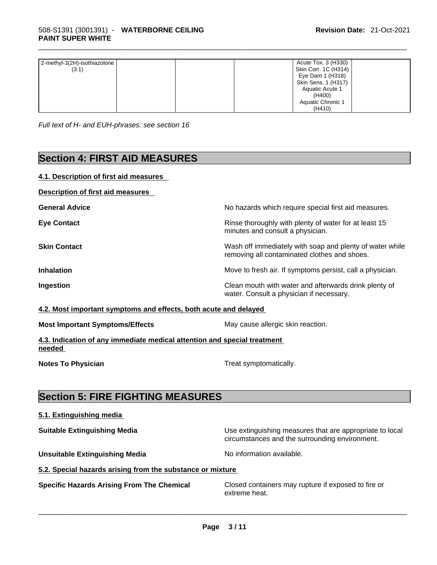| 2-methyl-3(2H)-isothiazolone | Acute Tox. 3 (H330)  |
|------------------------------|----------------------|
| (3:1)                        | Skin Corr. 1C (H314) |
|                              | Eye Dam 1 (H318)     |
|                              | Skin Sens. 1 (H317)  |
|                              | Aquatic Acute 1      |
|                              | (H400)               |
|                              | Aquatic Chronic 1    |
|                              | (H410)               |

*Full text of H- and EUH-phrases: see section 16* 

## **Section 4: FIRST AID MEASURES**

#### **4.1. Description of first aid measures**

| Description of first aid measures |
|-----------------------------------|
|-----------------------------------|

| <b>General Advice</b> | No hazards which require special first aid measures.                                                     |
|-----------------------|----------------------------------------------------------------------------------------------------------|
| <b>Eye Contact</b>    | Rinse thoroughly with plenty of water for at least 15<br>minutes and consult a physician.                |
| <b>Skin Contact</b>   | Wash off immediately with soap and plenty of water while<br>removing all contaminated clothes and shoes. |
| <b>Inhalation</b>     | Move to fresh air. If symptoms persist, call a physician.                                                |
| Ingestion             | Clean mouth with water and afterwards drink plenty of<br>water. Consult a physician if necessary.        |

#### **4.2. Most important symptoms and effects, both acute and delayed**

|  | <b>Most Important Symptoms/Effects</b> |
|--|----------------------------------------|
|  |                                        |

**4.3. Indication of any immediate medical attention and special treatment needed** 

**Notes To Physician Treat symptomatically.** 

**May cause allergic skin reaction.** 

## **Section 5: FIRE FIGHTING MEASURES**

#### **5.1. Extinguishing media**

**Suitable Extinguishing Media** Maximum Use extinguishing measures that are appropriate to local circumstances and the surrounding environment.

**Unsuitable Extinguishing Media** Noinformation available.

**5.2. Special hazards arising from the substance or mixture**

**Specific Hazards Arising From The Chemical** Closed containers may rupture ifexposed to fire or extreme heat. \_\_\_\_\_\_\_\_\_\_\_\_\_\_\_\_\_\_\_\_\_\_\_\_\_\_\_\_\_\_\_\_\_\_\_\_\_\_\_\_\_\_\_\_\_\_\_\_\_\_\_\_\_\_\_\_\_\_\_\_\_\_\_\_\_\_\_\_\_\_\_\_\_\_\_\_\_\_\_\_\_\_\_\_\_\_\_\_\_\_\_\_\_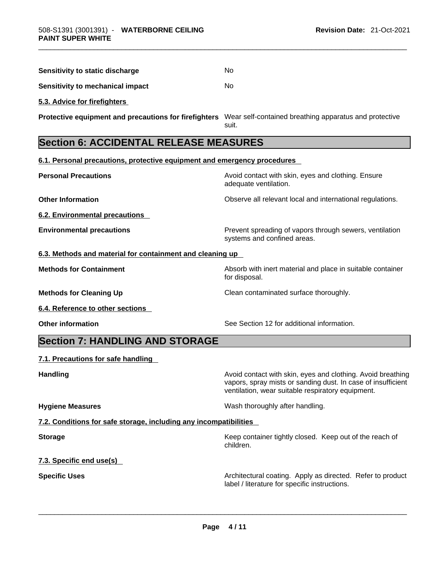| Sensitivity to static discharge  | Nο |  |
|----------------------------------|----|--|
| Sensitivity to mechanical impact | Nο |  |
| 5.3. Advice for firefighters     |    |  |

**Protective equipment and precautions for firefighters** Wear self-contained breathing apparatus and protective suit.

## **Section 6: ACCIDENTAL RELEASE MEASURES**

**6.1. Personal precautions, protective equipment and emergency procedures**

| <u>u.i. i cisonal precaduons, protective equipment and emergency procedures</u> |                                                                                        |
|---------------------------------------------------------------------------------|----------------------------------------------------------------------------------------|
| <b>Personal Precautions</b>                                                     | Avoid contact with skin, eyes and clothing. Ensure<br>adequate ventilation.            |
| <b>Other Information</b>                                                        | Observe all relevant local and international regulations.                              |
| <b>6.2. Environmental precautions</b>                                           |                                                                                        |
| <b>Environmental precautions</b>                                                | Prevent spreading of vapors through sewers, ventilation<br>systems and confined areas. |
| 6.3. Methods and material for containment and cleaning up                       |                                                                                        |
| <b>Methods for Containment</b>                                                  | Absorb with inert material and place in suitable container<br>for disposal.            |
| <b>Methods for Cleaning Up</b>                                                  | Clean contaminated surface thoroughly.                                                 |
| 6.4. Reference to other sections                                                |                                                                                        |
| <b>Other information</b>                                                        | See Section 12 for additional information.                                             |
| <b>Section 7: HANDLING AND STORAGE</b>                                          |                                                                                        |

### **7.1. Precautions for safe handling**

**Handling Handling Avoid contact with skin, eyes and clothing. Avoid breathing** 

**Hygiene Measures**  Wash thoroughly after handling.

**7.2. Conditions for safe storage, including any incompatibilities**

**Storage Storage Keep container tightly closed. Keep out of the reach of <b>Storage Keep** out of the reach of children.

vapors, spray mists or sanding dust. In case of insufficient

ventilation, wear suitable respiratory equipment.

**7.3. Specific end use(s)** 

**Specific Uses Architectural coating. Apply as directed. Refer to product and product** and a label / literature for specific instructions. label / literature for specific instructions. \_\_\_\_\_\_\_\_\_\_\_\_\_\_\_\_\_\_\_\_\_\_\_\_\_\_\_\_\_\_\_\_\_\_\_\_\_\_\_\_\_\_\_\_\_\_\_\_\_\_\_\_\_\_\_\_\_\_\_\_\_\_\_\_\_\_\_\_\_\_\_\_\_\_\_\_\_\_\_\_\_\_\_\_\_\_\_\_\_\_\_\_\_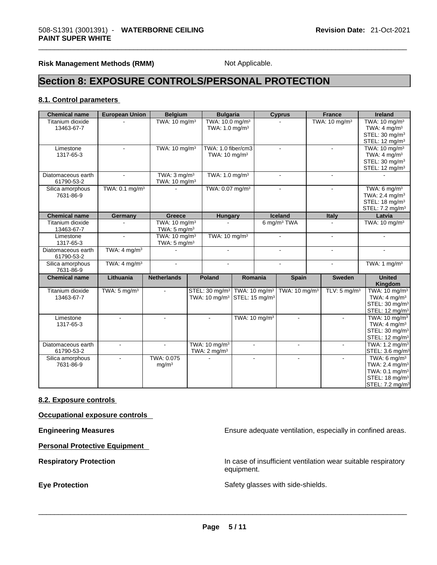**Risk Management Methods (RMM)** Not Applicable.

## **Section 8: EXPOSURE CONTROLS/PERSONAL PROTECTION**

#### **8.1. Control parameters**

| <b>Chemical name</b> | <b>European Union</b>      | <b>Belgium</b>            | <b>Bulgaria</b>                                      |                           |                           | <b>Cyprus</b>             | <b>France</b>            | <b>Ireland</b>              |
|----------------------|----------------------------|---------------------------|------------------------------------------------------|---------------------------|---------------------------|---------------------------|--------------------------|-----------------------------|
| Titanium dioxide     |                            | TWA: 10 mg/m <sup>3</sup> | TWA: 10.0 mg/m <sup>3</sup>                          |                           |                           |                           | TWA: $10 \text{ mg/m}^3$ | TWA: 10 mg/m <sup>3</sup>   |
| 13463-67-7           |                            |                           | TWA: 1.0 mg/m <sup>3</sup>                           |                           |                           |                           |                          | TWA: $4 \text{ mg/m}^3$     |
|                      |                            |                           |                                                      |                           |                           |                           |                          | STEL: 30 mg/m <sup>3</sup>  |
|                      |                            |                           |                                                      |                           |                           |                           |                          | STEL: 12 mg/m <sup>3</sup>  |
| Limestone            |                            | TWA: 10 mg/m <sup>3</sup> | TWA: 1.0 fiber/cm3                                   |                           |                           |                           |                          | TWA: 10 mg/m <sup>3</sup>   |
| 1317-65-3            |                            |                           | TWA: $10 \text{ mg/m}^3$                             |                           |                           |                           |                          | TWA: $4 \text{ mg/m}^3$     |
|                      |                            |                           |                                                      |                           |                           |                           |                          | STEL: 30 mg/m <sup>3</sup>  |
|                      |                            |                           |                                                      |                           |                           |                           |                          | STEL: 12 mg/m <sup>3</sup>  |
| Diatomaceous earth   | $\blacksquare$             | TWA: $3 \text{ mg/m}^3$   | TWA: 1.0 mg/m <sup>3</sup>                           |                           |                           | $\blacksquare$            | $\blacksquare$           |                             |
| 61790-53-2           |                            | TWA: 10 mg/m <sup>3</sup> |                                                      |                           |                           |                           |                          |                             |
| Silica amorphous     | TWA: 0.1 mg/m <sup>3</sup> |                           | TWA: 0.07 mg/m <sup>3</sup>                          |                           |                           |                           |                          | TWA: $6 \text{ mg/m}^3$     |
| 7631-86-9            |                            |                           |                                                      |                           |                           |                           |                          | TWA: 2.4 mg/m <sup>3</sup>  |
|                      |                            |                           |                                                      |                           |                           |                           |                          | STEL: 18 mg/m <sup>3</sup>  |
|                      |                            |                           |                                                      |                           |                           |                           |                          | STEL: 7.2 mg/m <sup>3</sup> |
| <b>Chemical name</b> | Germany                    | Greece                    | <b>Hungary</b>                                       |                           |                           | Iceland                   | <b>Italy</b>             | Latvia                      |
| Titanium dioxide     | $\overline{a}$             | TWA: 10 mg/m <sup>3</sup> |                                                      |                           |                           | 6 mg/m <sup>3</sup> TWA   |                          | TWA: 10 mg/m <sup>3</sup>   |
| 13463-67-7           |                            | TWA: $5 \text{ mg/m}^3$   |                                                      |                           |                           |                           |                          |                             |
| Limestone            |                            | TWA: 10 mg/m <sup>3</sup> | TWA: 10 mg/m $3$                                     |                           |                           |                           |                          |                             |
| 1317-65-3            |                            | TWA: $5 \text{ mg/m}^3$   |                                                      |                           |                           |                           |                          |                             |
| Diatomaceous earth   | TWA: $4 \text{ mg/m}^3$    |                           | $\mathbf{r}$                                         |                           |                           | $\blacksquare$            | $\sim$                   | $\overline{a}$              |
| 61790-53-2           |                            |                           |                                                      |                           |                           |                           |                          |                             |
| Silica amorphous     | TWA: $4 \text{ mg/m}^3$    |                           |                                                      |                           |                           | ÷                         | $\mathbf{r}$             | TWA: 1 $mg/m3$              |
| 7631-86-9            |                            |                           |                                                      |                           |                           |                           |                          |                             |
| <b>Chemical name</b> | Lithuania                  | <b>Netherlands</b>        | <b>Poland</b>                                        |                           | Romania                   | <b>Spain</b>              | <b>Sweden</b>            | <b>United</b>               |
|                      |                            |                           |                                                      |                           |                           |                           |                          | Kingdom                     |
| Titanium dioxide     | TWA: $5 \text{ mg/m}^3$    | $\sim$                    | STEL: 30 mg/m <sup>3</sup>                           | TWA: 10 mg/m <sup>3</sup> |                           | TWA: 10 mg/m <sup>3</sup> | TLV: $5 \text{ mg/m}^3$  | TWA: 10 mg/m <sup>3</sup>   |
| 13463-67-7           |                            |                           | TWA: 10 mg/m <sup>3</sup> STEL: 15 mg/m <sup>3</sup> |                           |                           |                           |                          | TWA: $4 \text{ mg/m}^3$     |
|                      |                            |                           |                                                      |                           |                           |                           |                          | STEL: 30 mg/m <sup>3</sup>  |
|                      |                            |                           |                                                      |                           |                           |                           |                          | STEL: 12 mg/m <sup>3</sup>  |
| Limestone            |                            |                           |                                                      |                           | TWA: 10 mg/m <sup>3</sup> |                           |                          | TWA: 10 mg/m <sup>3</sup>   |
| 1317-65-3            |                            |                           |                                                      |                           |                           |                           |                          | TWA: $4 \text{ mg/m}^3$     |
|                      |                            |                           |                                                      |                           |                           |                           |                          | STEL: 30 mg/m <sup>3</sup>  |
|                      |                            |                           |                                                      |                           |                           |                           |                          | STEL: 12 mg/m <sup>3</sup>  |
| Diatomaceous earth   |                            | $\sim$                    | TWA: 10 mg/m <sup>3</sup>                            |                           | $\blacksquare$            | $\sim$                    |                          | TWA: 1.2 mg/m <sup>3</sup>  |
| 61790-53-2           |                            |                           | TWA: $2 \text{ mg/m}^3$                              |                           |                           |                           |                          | STEL: 3.6 mg/m <sup>3</sup> |
| Silica amorphous     |                            | TWA: 0.075                |                                                      |                           |                           |                           |                          | TWA: $6 \text{ mg/m}^3$     |
| 7631-86-9            |                            | mg/m <sup>3</sup>         |                                                      |                           |                           |                           |                          | TWA: 2.4 mg/m <sup>3</sup>  |
|                      |                            |                           |                                                      |                           |                           |                           |                          | TWA: 0.1 mg/m <sup>3</sup>  |
|                      |                            |                           |                                                      |                           |                           |                           |                          | STEL: 18 mg/m <sup>3</sup>  |
|                      |                            |                           |                                                      |                           |                           |                           |                          | STEL: 7.2 mg/m <sup>3</sup> |

#### **8.2. Exposure controls**

**Occupational exposure controls** 

**Personal Protective Equipment** 

**Engineering Measures Ensure 2008** Ensure adequate ventilation, especially in confined areas.

**Respiratory Protection In case of insufficient ventilation wear suitable respiratory** equipment.

**Eye Protection** Safety glasses with side-shields. \_\_\_\_\_\_\_\_\_\_\_\_\_\_\_\_\_\_\_\_\_\_\_\_\_\_\_\_\_\_\_\_\_\_\_\_\_\_\_\_\_\_\_\_\_\_\_\_\_\_\_\_\_\_\_\_\_\_\_\_\_\_\_\_\_\_\_\_\_\_\_\_\_\_\_\_\_\_\_\_\_\_\_\_\_\_\_\_\_\_\_\_\_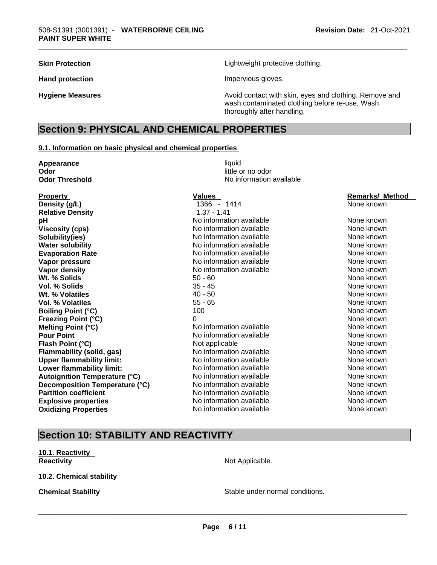**Skin Protection Skin Protection Lightweight protective clothing.** 

Hand protection **Impervious** gloves.

**Hygiene Measures Avoid contact with skin, eyes and clothing. Remove and Hygiene Measures** and clothing. Remove and wash contaminated clothing before re-use. Wash thoroughly after handling.

## **Section 9: PHYSICAL AND CHEMICAL PROPERTIES**

#### **9.1. Information on basic physical and chemical properties**

| Appearance                           | liquid                   |                        |
|--------------------------------------|--------------------------|------------------------|
| Odor                                 | little or no odor        |                        |
| <b>Odor Threshold</b>                | No information available |                        |
| <b>Property</b>                      | <b>Values</b>            | <b>Remarks/ Method</b> |
| Density (g/L)                        | 1366 - 1414              | None known             |
| <b>Relative Density</b>              | $1.37 - 1.41$            |                        |
| рH                                   | No information available | None known             |
| <b>Viscosity (cps)</b>               | No information available | None known             |
| Solubility(ies)                      | No information available | None known             |
| <b>Water solubility</b>              | No information available | None known             |
| <b>Evaporation Rate</b>              | No information available | None known             |
| Vapor pressure                       | No information available | None known             |
| Vapor density                        | No information available | None known             |
| Wt. % Solids                         | $50 - 60$                | None known             |
| <b>Vol. % Solids</b>                 | $35 - 45$                | None known             |
| Wt. % Volatiles                      | $40 - 50$                | None known             |
| <b>Vol. % Volatiles</b>              | $55 - 65$                | None known             |
| <b>Boiling Point (°C)</b>            | 100                      | None known             |
| <b>Freezing Point (°C)</b>           | 0                        | None known             |
| Melting Point (°C)                   | No information available | None known             |
| <b>Pour Point</b>                    | No information available | None known             |
| Flash Point (°C)                     | Not applicable           | None known             |
| Flammability (solid, gas)            | No information available | None known             |
| <b>Upper flammability limit:</b>     | No information available | None known             |
| Lower flammability limit:            | No information available | None known             |
| <b>Autoignition Temperature (°C)</b> | No information available | None known             |
| Decomposition Temperature (°C)       | No information available | None known             |
| <b>Partition coefficient</b>         | No information available | None known             |
| <b>Explosive properties</b>          | No information available | None known             |
| <b>Oxidizing Properties</b>          | No information available | None known             |
|                                      |                          |                        |

## **Section 10: STABILITY AND REACTIVITY**

**10.1. Reactivity Reactivity Not Applicable. Not Applicable.** 

**10.2. Chemical stability** 

**Chemical Stability Stable under normal conditions.**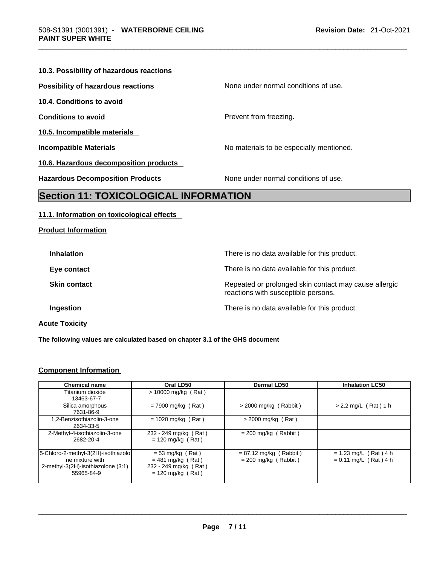| <b>Section 11: TOXICOLOGICAL INFORMATION</b> |                                          |  |  |  |
|----------------------------------------------|------------------------------------------|--|--|--|
| <b>Hazardous Decomposition Products</b>      | None under normal conditions of use.     |  |  |  |
| 10.6. Hazardous decomposition products       |                                          |  |  |  |
| <b>Incompatible Materials</b>                | No materials to be especially mentioned. |  |  |  |
| 10.5. Incompatible materials                 |                                          |  |  |  |
| <b>Conditions to avoid</b>                   | Prevent from freezing.                   |  |  |  |
| 10.4. Conditions to avoid                    |                                          |  |  |  |
| <b>Possibility of hazardous reactions</b>    | None under normal conditions of use.     |  |  |  |
| 10.3. Possibility of hazardous reactions     |                                          |  |  |  |

# **11.1. Information on toxicological effects**

| <b>Product Information</b> |  |
|----------------------------|--|
|                            |  |

| <b>Inhalation</b>   | There is no data available for this product.                                                 |
|---------------------|----------------------------------------------------------------------------------------------|
| Eye contact         | There is no data available for this product.                                                 |
| <b>Skin contact</b> | Repeated or prolonged skin contact may cause allergic<br>reactions with susceptible persons. |
| <b>Ingestion</b>    | There is no data available for this product.                                                 |
|                     |                                                                                              |

**Acute Toxicity** 

**The following values are calculated based on chapter 3.1 of the GHS document**

## **Component Information**

| <b>Chemical name</b>                                                                                         | Oral LD50                                                                                 | <b>Dermal LD50</b>                                 | <b>Inhalation LC50</b>                             |
|--------------------------------------------------------------------------------------------------------------|-------------------------------------------------------------------------------------------|----------------------------------------------------|----------------------------------------------------|
| Titanium dioxide<br>13463-67-7                                                                               | $> 10000$ mg/kg (Rat)                                                                     |                                                    |                                                    |
| Silica amorphous<br>7631-86-9                                                                                | $= 7900$ mg/kg (Rat)                                                                      | $>$ 2000 mg/kg (Rabbit)                            | $> 2.2$ mg/L (Rat) 1 h                             |
| 1.2-Benzisothiazolin-3-one<br>2634-33-5                                                                      | $= 1020$ mg/kg (Rat)                                                                      | $>$ 2000 mg/kg (Rat)                               |                                                    |
| 2-Methyl-4-isothiazolin-3-one<br>2682-20-4                                                                   | 232 - 249 mg/kg (Rat)<br>$= 120$ mg/kg (Rat)                                              | $= 200$ mg/kg (Rabbit)                             |                                                    |
| [5-Chloro-2-methyl-3(2H)-isothiazolo]<br>ne mixture with<br>2-methyl-3(2H)-isothiazolone (3:1)<br>55965-84-9 | $= 53$ mg/kg (Rat)<br>$= 481$ mg/kg (Rat)<br>232 - 249 mg/kg (Rat)<br>$= 120$ mg/kg (Rat) | $= 87.12$ mg/kg (Rabbit)<br>$= 200$ mg/kg (Rabbit) | $= 1.23$ mg/L (Rat) 4 h<br>$= 0.11$ mg/L (Rat) 4 h |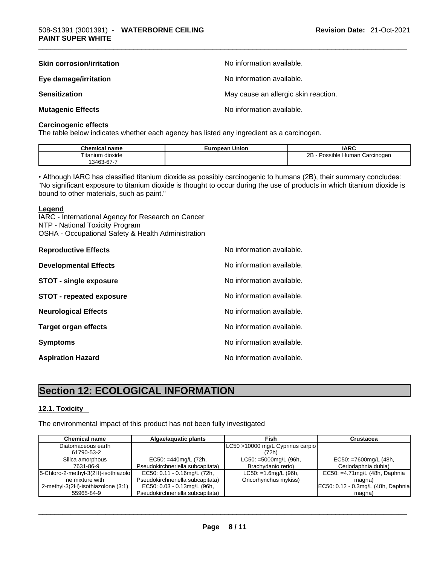| <b>Skin corrosion/irritation</b> | No information available.            |
|----------------------------------|--------------------------------------|
| Eye damage/irritation            | No information available.            |
| <b>Sensitization</b>             | May cause an allergic skin reaction. |
| <b>Mutagenic Effects</b>         | No information available.            |

#### **Carcinogenic effects**

The table below indicates whether each agency has listed any ingredient as a carcinogen.

| ີhem⊾<br>name<br>Jhemical               | ∖ Union<br>$\n   \n   \n$<br>–urop⊬<br>Jedii | <b>IARC</b>                                 |
|-----------------------------------------|----------------------------------------------|---------------------------------------------|
| $- \cdot \cdot$<br>dioxide<br>. itanıur |                                              | 2B<br>Carcinogen<br>ו הוה<br>Human<br>⊶<br> |
| .346 <sup>o</sup><br>$5 - 6$            |                                              |                                             |

• Although IARC has classified titanium dioxide as possibly carcinogenic to humans (2B), their summary concludes: "No significant exposure to titanium dioxide is thought to occur during the use of products in which titanium dioxide is bound to other materials, such as paint."

#### **Legend**

IARC - International Agency for Research on Cancer NTP - National Toxicity Program OSHA - Occupational Safety & Health Administration

| <b>Reproductive Effects</b>     | No information available. |
|---------------------------------|---------------------------|
| <b>Developmental Effects</b>    | No information available. |
| <b>STOT - single exposure</b>   | No information available. |
| <b>STOT - repeated exposure</b> | No information available. |
| <b>Neurological Effects</b>     | No information available. |
| <b>Target organ effects</b>     | No information available. |
| <b>Symptoms</b>                 | No information available. |
| <b>Aspiration Hazard</b>        | No information available. |

## **Section 12: ECOLOGICAL INFORMATION**

#### **12.1. Toxicity**

The environmental impact of this product has not been fully investigated

| <b>Chemical name</b>                | Algae/aguatic plants             | Fish                             | Crustacea                           |
|-------------------------------------|----------------------------------|----------------------------------|-------------------------------------|
| Diatomaceous earth                  |                                  | LC50 >10000 mg/L Cyprinus carpio |                                     |
| 61790-53-2                          |                                  | (72h)                            |                                     |
| Silica amorphous                    | $EC50: = 440mg/L (72h,$          | $LC50: =5000mg/L (96h,$          | $EC50: = 7600mg/L (48h,$            |
| 7631-86-9                           | Pseudokirchneriella subcapitata) | Brachydanio rerio)               | Ceriodaphnia dubia)                 |
| 5-Chloro-2-methyl-3(2H)-isothiazolo | EC50: 0.11 - 0.16mg/L (72h,      | $LC50: =1.6$ mg/L (96h,          | EC50: =4.71mg/L (48h, Daphnia       |
| ne mixture with                     | Pseudokirchneriella subcapitata) | Oncorhynchus mykiss)             | magna)                              |
| 2-methyl-3(2H)-isothiazolone (3:1)  | EC50: 0.03 - 0.13mg/L (96h,      |                                  | EC50: 0.12 - 0.3mg/L (48h, Daphnia) |
| 55965-84-9                          | Pseudokirchneriella subcapitata) |                                  | magna)                              |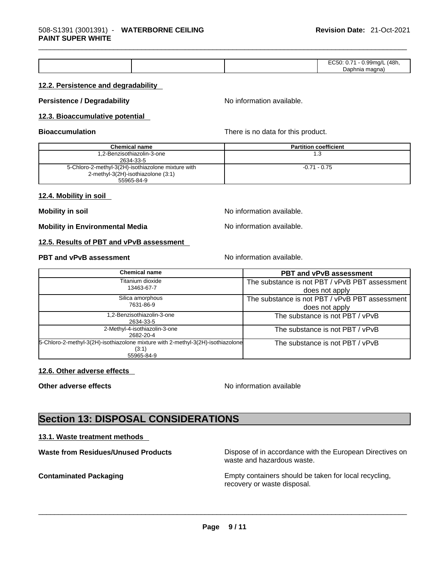|  | (ARF)<br>$\sim$<br>ו/מו<br>יי<br>.9911''<br>יי יש |
|--|---------------------------------------------------|
|  | .                                                 |
|  | Daphnia magna)                                    |

#### **12.2. Persistence and degradability**

**Persistence / Degradability** No information available.

#### **12.3. Bioaccumulative potential**

**Bioaccumulation** There is no data for this product.

| <b>Chemical name</b>                               | <b>Partition coefficient</b> |
|----------------------------------------------------|------------------------------|
| 1.2-Benzisothiazolin-3-one                         |                              |
| 2634-33-5                                          |                              |
| 5-Chloro-2-methyl-3(2H)-isothiazolone mixture with | $-0.71 - 0.75$               |
| 2-methyl-3(2H)-isothiazolone (3:1)                 |                              |
| 55965-84-9                                         |                              |

#### **12.4. Mobility in soil**

**Mobility in soil Mobility in soil Mobility in soil** 

**Mobility in Environmental Media** Noinformation available.

#### **12.5. Results of PBT and vPvB assessment**

#### **PBT** and **vPvB** assessment **Notify**  $\blacksquare$  No information available.

| Chemical name                                                                   | <b>PBT and vPvB assessment</b>                 |
|---------------------------------------------------------------------------------|------------------------------------------------|
| Titanium dioxide                                                                | The substance is not PBT / vPvB PBT assessment |
| 13463-67-7                                                                      | does not apply                                 |
| Silica amorphous                                                                | The substance is not PBT / vPvB PBT assessment |
| 7631-86-9                                                                       | does not apply                                 |
| 1,2-Benzisothiazolin-3-one                                                      | The substance is not PBT / vPvB                |
| 2634-33-5                                                                       |                                                |
| 2-Methyl-4-isothiazolin-3-one                                                   | The substance is not PBT / vPvB                |
| 2682-20-4                                                                       |                                                |
| 5-Chloro-2-methyl-3(2H)-isothiazolone mixture with 2-methyl-3(2H)-isothiazolone | The substance is not PBT / vPvB                |
| (3:1)                                                                           |                                                |
| 55965-84-9                                                                      |                                                |

#### **12.6. Other adverse effects**

**Other adverse effects No information available** 

## **Section 13: DISPOSAL CONSIDERATIONS**

#### **13.1. Waste treatment methods**

**Waste from Residues/Unused Products** Dispose of in accordance with the European Directives on waste and hazardous waste.

**Contaminated Packaging** Empty containers should be taken for local recycling,<br>recovery or waste disposal. recovery or waste disposal. \_\_\_\_\_\_\_\_\_\_\_\_\_\_\_\_\_\_\_\_\_\_\_\_\_\_\_\_\_\_\_\_\_\_\_\_\_\_\_\_\_\_\_\_\_\_\_\_\_\_\_\_\_\_\_\_\_\_\_\_\_\_\_\_\_\_\_\_\_\_\_\_\_\_\_\_\_\_\_\_\_\_\_\_\_\_\_\_\_\_\_\_\_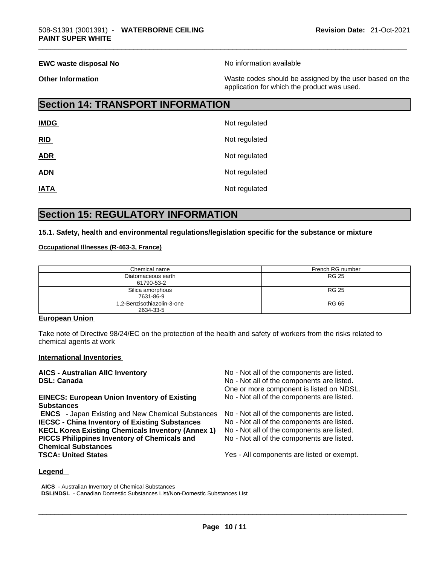**EWC waste disposal No No information available** 

**Other Information** Waste codes should be assigned by the user based on the application for which the product was used.

## **Section 14: TRANSPORT INFORMATION**

| <b>IMDG</b> | Not regulated |
|-------------|---------------|
| RID         | Not regulated |
| <b>ADR</b>  | Not regulated |
| <b>ADN</b>  | Not regulated |
| <b>IATA</b> | Not regulated |

## **Section 15: REGULATORY INFORMATION**

#### **15.1. Safety, health and environmental regulations/legislation specific for the substance or mixture**

#### **Occupational Illnesses (R-463-3, France)**

| Chemical name              | French RG number |
|----------------------------|------------------|
| Diatomaceous earth         | RG 25            |
| 61790-53-2                 |                  |
| Silica amorphous           | RG 25            |
| 7631-86-9                  |                  |
| 1,2-Benzisothiazolin-3-one | RG 65            |
| 2634-33-5                  |                  |

#### **European Union**

Take note of Directive 98/24/EC on the protection of the health and safety of workers from the risks related to chemical agents at work

#### **International Inventories**

**AICS** - **Australian AIIC Inventory** No - Not all of the components are listed. **DSL: Canada No - Not all of the components are listed.** No - Not all of the components are listed. One or more component is listed on NDSL. **EINECS: European Union Inventory of Existing Substances**  No - Not all of the components are listed.  **ENCS** - Japan Existing and New Chemical Substances No - Not all of the components are listed. **IECSC - China Inventory of Existing Substances** No - Not all of the components are listed. **KECL Korea Existing Chemicals Inventory (Annex 1)** No - Not all of the components are listed. **PICCS Philippines Inventory of Chemicals and Chemical Substances**  No - Not all of the components are listed. Yes - All components are listed or exempt.

#### **Legend**

**AICS** - Australian Inventory of Chemical Substances **DSL/NDSL** - Canadian Domestic Substances List/Non-Domestic Substances List